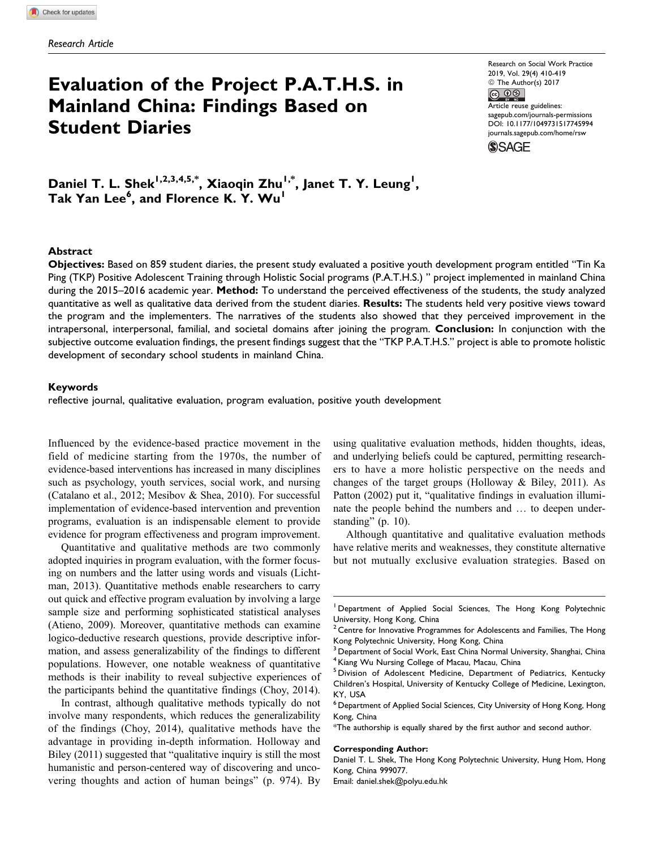# Evaluation of the Project P.A.T.H.S. in Mainland China: Findings Based on Student Diaries

Research on Social Work Practice 2019, Vol. 29(4) 410-419  $\circledcirc$  The Author(s) 2017<br> $\circledcirc$ Article reuse guidelines: [sagepub.com/journals-permissions](https://sagepub.com/journals-permissions) [DOI: 10.1177/1049731517745994](https://doi.org/10.1177/1049731517745994) [journals.sagepub.com/home/rsw](http://journals.sagepub.com/home/rsw)**SSAGE** 

Daniel T. L. Shek<sup>1,2,3,4,5,\*</sup>, Xiaoqin Zhu<sup>1,\*</sup>, Janet T. Y. Leung<sup>1</sup>, Tak Yan Lee<sup>6</sup>, and Florence K. Y. Wu<sup>1</sup>

#### Abstract

Objectives: Based on 859 student diaries, the present study evaluated a positive youth development program entitled "Tin Ka Ping (TKP) Positive Adolescent Training through Holistic Social programs (P.A.T.H.S.) " project implemented in mainland China during the 2015–2016 academic year. Method: To understand the perceived effectiveness of the students, the study analyzed quantitative as well as qualitative data derived from the student diaries. Results: The students held very positive views toward the program and the implementers. The narratives of the students also showed that they perceived improvement in the intrapersonal, interpersonal, familial, and societal domains after joining the program. Conclusion: In conjunction with the subjective outcome evaluation findings, the present findings suggest that the "TKP P.A.T.H.S." project is able to promote holistic development of secondary school students in mainland China.

#### Keywords

reflective journal, qualitative evaluation, program evaluation, positive youth development

Influenced by the evidence-based practice movement in the field of medicine starting from the 1970s, the number of evidence-based interventions has increased in many disciplines such as psychology, youth services, social work, and nursing (Catalano et al., 2012; Mesibov & Shea, 2010). For successful implementation of evidence-based intervention and prevention programs, evaluation is an indispensable element to provide evidence for program effectiveness and program improvement.

Quantitative and qualitative methods are two commonly adopted inquiries in program evaluation, with the former focusing on numbers and the latter using words and visuals (Lichtman, 2013). Quantitative methods enable researchers to carry out quick and effective program evaluation by involving a large sample size and performing sophisticated statistical analyses (Atieno, 2009). Moreover, quantitative methods can examine logico-deductive research questions, provide descriptive information, and assess generalizability of the findings to different populations. However, one notable weakness of quantitative methods is their inability to reveal subjective experiences of the participants behind the quantitative findings (Choy, 2014).

In contrast, although qualitative methods typically do not involve many respondents, which reduces the generalizability of the findings (Choy, 2014), qualitative methods have the advantage in providing in-depth information. Holloway and Biley (2011) suggested that "qualitative inquiry is still the most humanistic and person-centered way of discovering and uncovering thoughts and action of human beings" (p. 974). By using qualitative evaluation methods, hidden thoughts, ideas, and underlying beliefs could be captured, permitting researchers to have a more holistic perspective on the needs and changes of the target groups (Holloway & Biley, 2011). As Patton (2002) put it, "qualitative findings in evaluation illuminate the people behind the numbers and … to deepen understanding" (p. 10).

Although quantitative and qualitative evaluation methods have relative merits and weaknesses, they constitute alternative but not mutually exclusive evaluation strategies. Based on

#### Corresponding Author:

Daniel T. L. Shek, The Hong Kong Polytechnic University, Hung Hom, Hong Kong, China 999077.

Email: daniel.shek@polyu.edu.hk

<sup>1</sup> Department of Applied Social Sciences, The Hong Kong Polytechnic University, Hong Kong, China

 $2$  Centre for Innovative Programmes for Adolescents and Families, The Hong Kong Polytechnic University, Hong Kong, China

 $^3$  Department of Social Work, East China Normal University, Shanghai, China  $^4$ Kiang Wu Nursing College of Macau, Macau, China

<sup>&</sup>lt;sup>5</sup> Division of Adolescent Medicine, Department of Pediatrics, Kentucky Children's Hospital, University of Kentucky College of Medicine, Lexington, KY, USA

<sup>6</sup> Department of Applied Social Sciences, City University of Hong Kong, Hong Kong, China

<sup>\*</sup>The authorship is equally shared by the first author and second author.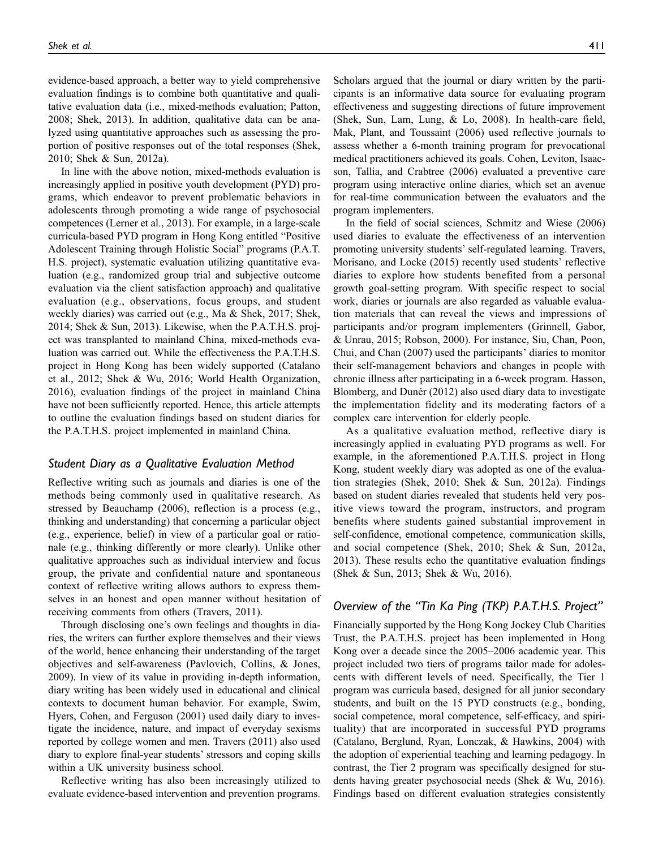evidence-based approach, a better way to yield comprehensive evaluation findings is to combine both quantitative and qualitative evaluation data (i.e., mixed-methods evaluation; Patton, 2008; Shek, 2013). In addition, qualitative data can be analyzed using quantitative approaches such as assessing the proportion of positive responses out of the total responses (Shek, 2010; Shek & Sun, 2012a).

In line with the above notion, mixed-methods evaluation is increasingly applied in positive youth development (PYD) programs, which endeavor to prevent problematic behaviors in adolescents through promoting a wide range of psychosocial competences (Lerner et al., 2013). For example, in a large-scale curricula-based PYD program in Hong Kong entitled "Positive Adolescent Training through Holistic Social" programs (P.A.T. H.S. project), systematic evaluation utilizing quantitative evaluation (e.g., randomized group trial and subjective outcome evaluation via the client satisfaction approach) and qualitative evaluation (e.g., observations, focus groups, and student weekly diaries) was carried out (e.g., Ma & Shek, 2017; Shek, 2014; Shek & Sun, 2013). Likewise, when the P.A.T.H.S. project was transplanted to mainland China, mixed-methods evaluation was carried out. While the effectiveness the P.A.T.H.S. project in Hong Kong has been widely supported (Catalano et al., 2012; Shek & Wu, 2016; World Health Organization, 2016), evaluation findings of the project in mainland China have not been sufficiently reported. Hence, this article attempts to outline the evaluation findings based on student diaries for the P.A.T.H.S. project implemented in mainland China.

#### Student Diary as a Qualitative Evaluation Method

Reflective writing such as journals and diaries is one of the methods being commonly used in qualitative research. As stressed by Beauchamp (2006), reflection is a process (e.g., thinking and understanding) that concerning a particular object (e.g., experience, belief) in view of a particular goal or rationale (e.g., thinking differently or more clearly). Unlike other qualitative approaches such as individual interview and focus group, the private and confidential nature and spontaneous context of reflective writing allows authors to express themselves in an honest and open manner without hesitation of receiving comments from others (Travers, 2011).

Through disclosing one's own feelings and thoughts in diaries, the writers can further explore themselves and their views of the world, hence enhancing their understanding of the target objectives and self-awareness (Pavlovich, Collins, & Jones, 2009). In view of its value in providing in-depth information, diary writing has been widely used in educational and clinical contexts to document human behavior. For example, Swim, Hyers, Cohen, and Ferguson (2001) used daily diary to investigate the incidence, nature, and impact of everyday sexisms reported by college women and men. Travers (2011) also used diary to explore final-year students' stressors and coping skills within a UK university business school.

Reflective writing has also been increasingly utilized to evaluate evidence-based intervention and prevention programs. Scholars argued that the journal or diary written by the participants is an informative data source for evaluating program effectiveness and suggesting directions of future improvement (Shek, Sun, Lam, Lung, & Lo, 2008). In health-care field, Mak, Plant, and Toussaint (2006) used reflective journals to assess whether a 6-month training program for prevocational medical practitioners achieved its goals. Cohen, Leviton, Isaacson, Tallia, and Crabtree (2006) evaluated a preventive care program using interactive online diaries, which set an avenue for real-time communication between the evaluators and the program implementers.

In the field of social sciences, Schmitz and Wiese (2006) used diaries to evaluate the effectiveness of an intervention promoting university students' self-regulated learning. Travers, Morisano, and Locke (2015) recently used students' reflective diaries to explore how students benefited from a personal growth goal-setting program. With specific respect to social work, diaries or journals are also regarded as valuable evaluation materials that can reveal the views and impressions of participants and/or program implementers (Grinnell, Gabor, & Unrau, 2015; Robson, 2000). For instance, Siu, Chan, Poon, Chui, and Chan (2007) used the participants' diaries to monitor their self-management behaviors and changes in people with chronic illness after participating in a 6-week program. Hasson, Blomberg, and Dunér (2012) also used diary data to investigate the implementation fidelity and its moderating factors of a complex care intervention for elderly people.

As a qualitative evaluation method, reflective diary is increasingly applied in evaluating PYD programs as well. For example, in the aforementioned P.A.T.H.S. project in Hong Kong, student weekly diary was adopted as one of the evaluation strategies (Shek, 2010; Shek & Sun, 2012a). Findings based on student diaries revealed that students held very positive views toward the program, instructors, and program benefits where students gained substantial improvement in self-confidence, emotional competence, communication skills, and social competence (Shek, 2010; Shek & Sun, 2012a, 2013). These results echo the quantitative evaluation findings (Shek & Sun, 2013; Shek & Wu, 2016).

# Overview of the "Tin Ka Ping (TKP) P.A.T.H.S. Project"

Financially supported by the Hong Kong Jockey Club Charities Trust, the P.A.T.H.S. project has been implemented in Hong Kong over a decade since the 2005–2006 academic year. This project included two tiers of programs tailor made for adolescents with different levels of need. Specifically, the Tier 1 program was curricula based, designed for all junior secondary students, and built on the 15 PYD constructs (e.g., bonding, social competence, moral competence, self-efficacy, and spirituality) that are incorporated in successful PYD programs (Catalano, Berglund, Ryan, Lonczak, & Hawkins, 2004) with the adoption of experiential teaching and learning pedagogy. In contrast, the Tier 2 program was specifically designed for students having greater psychosocial needs (Shek & Wu, 2016). Findings based on different evaluation strategies consistently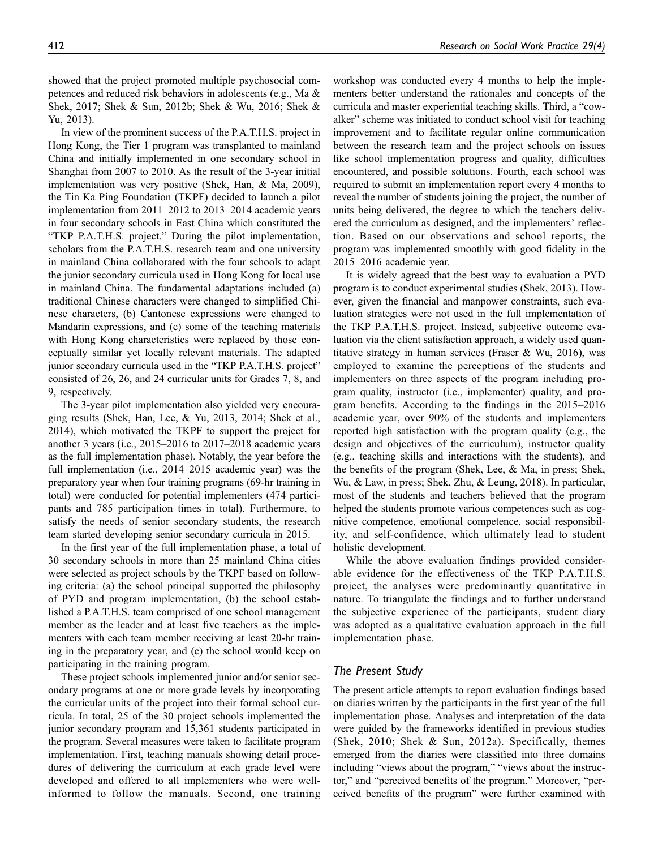showed that the project promoted multiple psychosocial competences and reduced risk behaviors in adolescents (e.g., Ma & Shek, 2017; Shek & Sun, 2012b; Shek & Wu, 2016; Shek & Yu, 2013).

In view of the prominent success of the P.A.T.H.S. project in Hong Kong, the Tier 1 program was transplanted to mainland China and initially implemented in one secondary school in Shanghai from 2007 to 2010. As the result of the 3-year initial implementation was very positive (Shek, Han, & Ma, 2009), the Tin Ka Ping Foundation (TKPF) decided to launch a pilot implementation from 2011–2012 to 2013–2014 academic years in four secondary schools in East China which constituted the "TKP P.A.T.H.S. project." During the pilot implementation, scholars from the P.A.T.H.S. research team and one university in mainland China collaborated with the four schools to adapt the junior secondary curricula used in Hong Kong for local use in mainland China. The fundamental adaptations included (a) traditional Chinese characters were changed to simplified Chinese characters, (b) Cantonese expressions were changed to Mandarin expressions, and (c) some of the teaching materials with Hong Kong characteristics were replaced by those conceptually similar yet locally relevant materials. The adapted junior secondary curricula used in the "TKP P.A.T.H.S. project" consisted of 26, 26, and 24 curricular units for Grades 7, 8, and 9, respectively.

The 3-year pilot implementation also yielded very encouraging results (Shek, Han, Lee, & Yu, 2013, 2014; Shek et al., 2014), which motivated the TKPF to support the project for another 3 years (i.e., 2015–2016 to 2017–2018 academic years as the full implementation phase). Notably, the year before the full implementation (i.e., 2014–2015 academic year) was the preparatory year when four training programs (69-hr training in total) were conducted for potential implementers (474 participants and 785 participation times in total). Furthermore, to satisfy the needs of senior secondary students, the research team started developing senior secondary curricula in 2015.

In the first year of the full implementation phase, a total of 30 secondary schools in more than 25 mainland China cities were selected as project schools by the TKPF based on following criteria: (a) the school principal supported the philosophy of PYD and program implementation, (b) the school established a P.A.T.H.S. team comprised of one school management member as the leader and at least five teachers as the implementers with each team member receiving at least 20-hr training in the preparatory year, and (c) the school would keep on participating in the training program.

These project schools implemented junior and/or senior secondary programs at one or more grade levels by incorporating the curricular units of the project into their formal school curricula. In total, 25 of the 30 project schools implemented the junior secondary program and 15,361 students participated in the program. Several measures were taken to facilitate program implementation. First, teaching manuals showing detail procedures of delivering the curriculum at each grade level were developed and offered to all implementers who were wellinformed to follow the manuals. Second, one training

workshop was conducted every 4 months to help the implementers better understand the rationales and concepts of the curricula and master experiential teaching skills. Third, a "cowalker" scheme was initiated to conduct school visit for teaching improvement and to facilitate regular online communication between the research team and the project schools on issues like school implementation progress and quality, difficulties encountered, and possible solutions. Fourth, each school was required to submit an implementation report every 4 months to reveal the number of students joining the project, the number of units being delivered, the degree to which the teachers delivered the curriculum as designed, and the implementers' reflection. Based on our observations and school reports, the program was implemented smoothly with good fidelity in the 2015–2016 academic year.

It is widely agreed that the best way to evaluation a PYD program is to conduct experimental studies (Shek, 2013). However, given the financial and manpower constraints, such evaluation strategies were not used in the full implementation of the TKP P.A.T.H.S. project. Instead, subjective outcome evaluation via the client satisfaction approach, a widely used quantitative strategy in human services (Fraser & Wu, 2016), was employed to examine the perceptions of the students and implementers on three aspects of the program including program quality, instructor (i.e., implementer) quality, and program benefits. According to the findings in the 2015–2016 academic year, over 90% of the students and implementers reported high satisfaction with the program quality (e.g., the design and objectives of the curriculum), instructor quality (e.g., teaching skills and interactions with the students), and the benefits of the program (Shek, Lee, & Ma, in press; Shek, Wu, & Law, in press; Shek, Zhu, & Leung, 2018). In particular, most of the students and teachers believed that the program helped the students promote various competences such as cognitive competence, emotional competence, social responsibility, and self-confidence, which ultimately lead to student holistic development.

While the above evaluation findings provided considerable evidence for the effectiveness of the TKP P.A.T.H.S. project, the analyses were predominantly quantitative in nature. To triangulate the findings and to further understand the subjective experience of the participants, student diary was adopted as a qualitative evaluation approach in the full implementation phase.

## The Present Study

The present article attempts to report evaluation findings based on diaries written by the participants in the first year of the full implementation phase. Analyses and interpretation of the data were guided by the frameworks identified in previous studies (Shek, 2010; Shek & Sun, 2012a). Specifically, themes emerged from the diaries were classified into three domains including "views about the program," "views about the instructor," and "perceived benefits of the program." Moreover, "perceived benefits of the program" were further examined with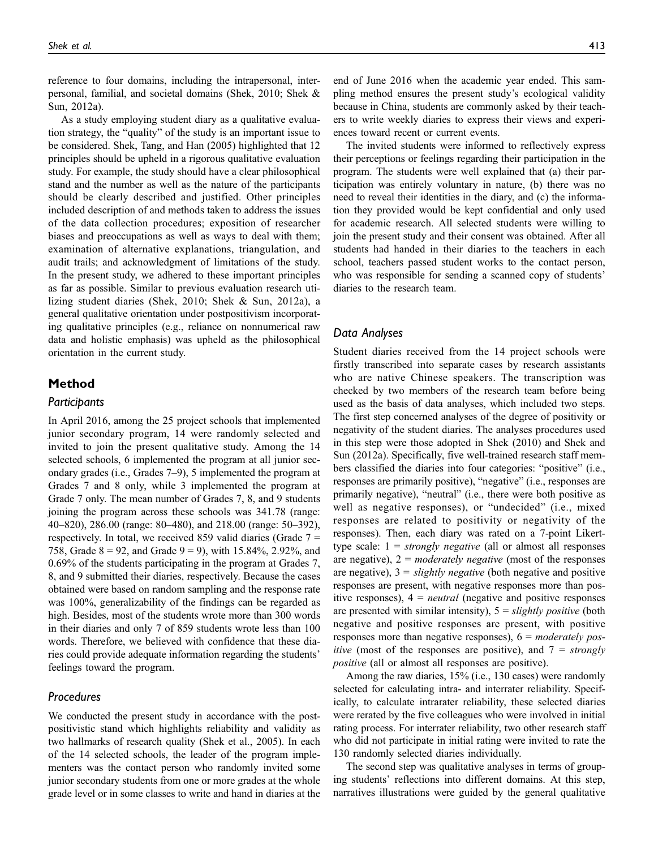reference to four domains, including the intrapersonal, interpersonal, familial, and societal domains (Shek, 2010; Shek & Sun, 2012a).

As a study employing student diary as a qualitative evaluation strategy, the "quality" of the study is an important issue to be considered. Shek, Tang, and Han (2005) highlighted that 12 principles should be upheld in a rigorous qualitative evaluation study. For example, the study should have a clear philosophical stand and the number as well as the nature of the participants should be clearly described and justified. Other principles included description of and methods taken to address the issues of the data collection procedures; exposition of researcher biases and preoccupations as well as ways to deal with them; examination of alternative explanations, triangulation, and audit trails; and acknowledgment of limitations of the study. In the present study, we adhered to these important principles as far as possible. Similar to previous evaluation research utilizing student diaries (Shek, 2010; Shek & Sun, 2012a), a general qualitative orientation under postpositivism incorporating qualitative principles (e.g., reliance on nonnumerical raw data and holistic emphasis) was upheld as the philosophical orientation in the current study.

## Method

## **Participants**

In April 2016, among the 25 project schools that implemented junior secondary program, 14 were randomly selected and invited to join the present qualitative study. Among the 14 selected schools, 6 implemented the program at all junior secondary grades (i.e., Grades 7–9), 5 implemented the program at Grades 7 and 8 only, while 3 implemented the program at Grade 7 only. The mean number of Grades 7, 8, and 9 students joining the program across these schools was 341.78 (range: 40–820), 286.00 (range: 80–480), and 218.00 (range: 50–392), respectively. In total, we received 859 valid diaries (Grade 7 = 758, Grade  $8 = 92$ , and Grade  $9 = 9$ ), with 15.84%, 2.92%, and 0.69% of the students participating in the program at Grades 7, 8, and 9 submitted their diaries, respectively. Because the cases obtained were based on random sampling and the response rate was 100%, generalizability of the findings can be regarded as high. Besides, most of the students wrote more than 300 words in their diaries and only 7 of 859 students wrote less than 100 words. Therefore, we believed with confidence that these diaries could provide adequate information regarding the students' feelings toward the program.

## **Procedures**

We conducted the present study in accordance with the postpositivistic stand which highlights reliability and validity as two hallmarks of research quality (Shek et al., 2005). In each of the 14 selected schools, the leader of the program implementers was the contact person who randomly invited some junior secondary students from one or more grades at the whole grade level or in some classes to write and hand in diaries at the

end of June 2016 when the academic year ended. This sampling method ensures the present study's ecological validity because in China, students are commonly asked by their teachers to write weekly diaries to express their views and experiences toward recent or current events.

The invited students were informed to reflectively express their perceptions or feelings regarding their participation in the program. The students were well explained that (a) their participation was entirely voluntary in nature, (b) there was no need to reveal their identities in the diary, and (c) the information they provided would be kept confidential and only used for academic research. All selected students were willing to join the present study and their consent was obtained. After all students had handed in their diaries to the teachers in each school, teachers passed student works to the contact person, who was responsible for sending a scanned copy of students' diaries to the research team.

## Data Analyses

Student diaries received from the 14 project schools were firstly transcribed into separate cases by research assistants who are native Chinese speakers. The transcription was checked by two members of the research team before being used as the basis of data analyses, which included two steps. The first step concerned analyses of the degree of positivity or negativity of the student diaries. The analyses procedures used in this step were those adopted in Shek (2010) and Shek and Sun (2012a). Specifically, five well-trained research staff members classified the diaries into four categories: "positive" (i.e., responses are primarily positive), "negative" (i.e., responses are primarily negative), "neutral" (i.e., there were both positive as well as negative responses), or "undecided" (i.e., mixed responses are related to positivity or negativity of the responses). Then, each diary was rated on a 7-point Likerttype scale:  $1 = strongly negative$  (all or almost all responses are negative),  $2 =$  moderately negative (most of the responses are negative),  $3 =$  slightly negative (both negative and positive responses are present, with negative responses more than positive responses),  $4 = neutral$  (negative and positive responses are presented with similar intensity),  $5 =$  slightly positive (both negative and positive responses are present, with positive responses more than negative responses),  $6 = moderately pos$ *itive* (most of the responses are positive), and  $7 = strongly$ positive (all or almost all responses are positive).

Among the raw diaries, 15% (i.e., 130 cases) were randomly selected for calculating intra- and interrater reliability. Specifically, to calculate intrarater reliability, these selected diaries were rerated by the five colleagues who were involved in initial rating process. For interrater reliability, two other research staff who did not participate in initial rating were invited to rate the 130 randomly selected diaries individually.

The second step was qualitative analyses in terms of grouping students' reflections into different domains. At this step, narratives illustrations were guided by the general qualitative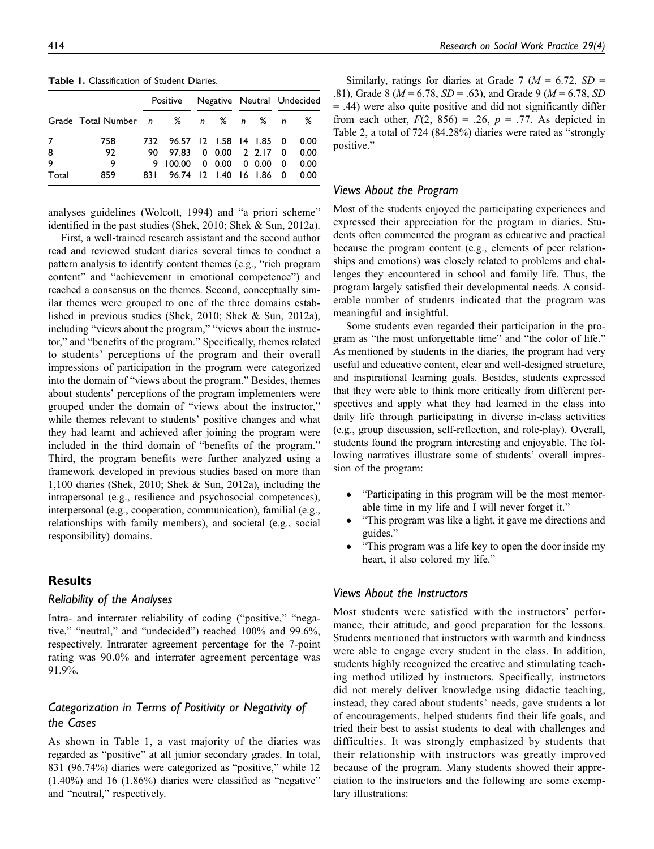|                      |                                    | Positive                                                                                                           |  |  | Negative Neutral Undecided |                              |  |
|----------------------|------------------------------------|--------------------------------------------------------------------------------------------------------------------|--|--|----------------------------|------------------------------|--|
|                      | Grade Total Number n % n % n % n % |                                                                                                                    |  |  |                            |                              |  |
| 7<br>8<br>9<br>Total | 758<br>92<br>9<br>859              | 732 96.57 12 1.58 14 1.85 0<br>90 97.83 0 0.00 2 2.17 0<br>9 100.00 0 0.00 0 0.00 0<br>831 96.74 12 1.40 16 1.86 0 |  |  |                            | 0.00<br>0.00<br>0.00<br>0.00 |  |

Table 1. Classification of Student Diaries.

analyses guidelines (Wolcott, 1994) and "a priori scheme" identified in the past studies (Shek, 2010; Shek & Sun, 2012a).

First, a well-trained research assistant and the second author read and reviewed student diaries several times to conduct a pattern analysis to identify content themes (e.g., "rich program content" and "achievement in emotional competence") and reached a consensus on the themes. Second, conceptually similar themes were grouped to one of the three domains established in previous studies (Shek, 2010; Shek & Sun, 2012a), including "views about the program," "views about the instructor," and "benefits of the program." Specifically, themes related to students' perceptions of the program and their overall impressions of participation in the program were categorized into the domain of "views about the program." Besides, themes about students' perceptions of the program implementers were grouped under the domain of "views about the instructor," while themes relevant to students' positive changes and what they had learnt and achieved after joining the program were included in the third domain of "benefits of the program." Third, the program benefits were further analyzed using a framework developed in previous studies based on more than 1,100 diaries (Shek, 2010; Shek & Sun, 2012a), including the intrapersonal (e.g., resilience and psychosocial competences), interpersonal (e.g., cooperation, communication), familial (e.g., relationships with family members), and societal (e.g., social responsibility) domains.

# Results

## Reliability of the Analyses

Intra- and interrater reliability of coding ("positive," "negative," "neutral," and "undecided") reached 100% and 99.6%, respectively. Intrarater agreement percentage for the 7-point rating was 90.0% and interrater agreement percentage was 91.9%.

# Categorization in Terms of Positivity or Negativity of the Cases

As shown in Table 1, a vast majority of the diaries was regarded as "positive" at all junior secondary grades. In total, 831 (96.74%) diaries were categorized as "positive," while 12  $(1.40\%)$  and 16  $(1.86\%)$  diaries were classified as "negative" and "neutral," respectively.

Similarly, ratings for diaries at Grade 7 ( $M = 6.72$ ,  $SD =$ .81), Grade 8 ( $M = 6.78$ ,  $SD = .63$ ), and Grade 9 ( $M = 6.78$ , SD = .44) were also quite positive and did not significantly differ from each other,  $F(2, 856) = .26$ ,  $p = .77$ . As depicted in Table 2, a total of 724 (84.28%) diaries were rated as "strongly positive."

## Views About the Program

Most of the students enjoyed the participating experiences and expressed their appreciation for the program in diaries. Students often commented the program as educative and practical because the program content (e.g., elements of peer relationships and emotions) was closely related to problems and challenges they encountered in school and family life. Thus, the program largely satisfied their developmental needs. A considerable number of students indicated that the program was meaningful and insightful.

Some students even regarded their participation in the program as "the most unforgettable time" and "the color of life." As mentioned by students in the diaries, the program had very useful and educative content, clear and well-designed structure, and inspirational learning goals. Besides, students expressed that they were able to think more critically from different perspectives and apply what they had learned in the class into daily life through participating in diverse in-class activities (e.g., group discussion, self-reflection, and role-play). Overall, students found the program interesting and enjoyable. The following narratives illustrate some of students' overall impression of the program:

- "Participating in this program will be the most memorable time in my life and I will never forget it."
- "This program was like a light, it gave me directions and guides."
- "This program was a life key to open the door inside my heart, it also colored my life."

# Views About the Instructors

Most students were satisfied with the instructors' performance, their attitude, and good preparation for the lessons. Students mentioned that instructors with warmth and kindness were able to engage every student in the class. In addition, students highly recognized the creative and stimulating teaching method utilized by instructors. Specifically, instructors did not merely deliver knowledge using didactic teaching, instead, they cared about students' needs, gave students a lot of encouragements, helped students find their life goals, and tried their best to assist students to deal with challenges and difficulties. It was strongly emphasized by students that their relationship with instructors was greatly improved because of the program. Many students showed their appreciation to the instructors and the following are some exemplary illustrations: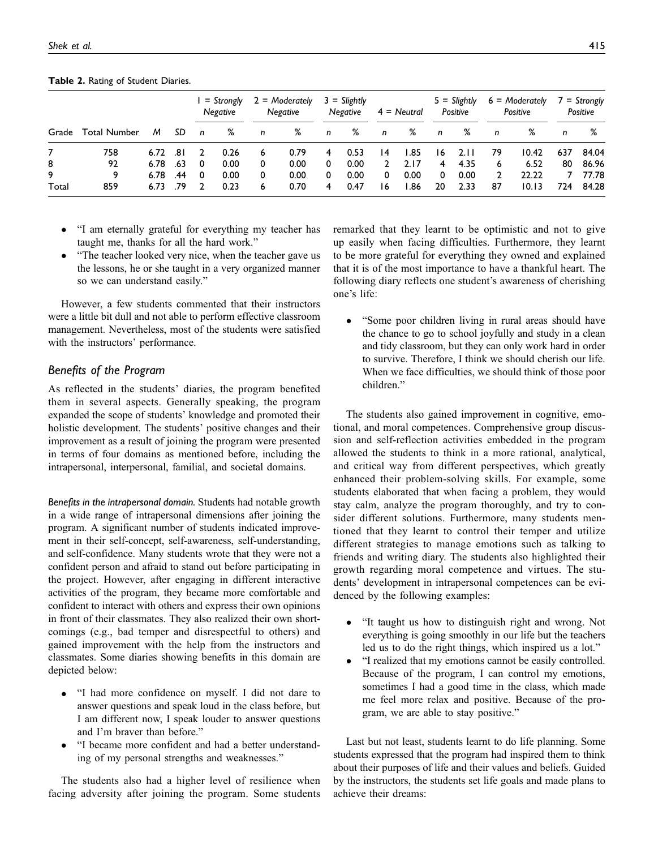|       |                    |      |      | = Strongly<br>Negative |      | $2 =$ Moderately<br>Negative |      | $3 = S$ lightly<br>Negative |      | $4 =$ Neutral |       | $5 = S$ lightly<br>Positive |      | $6 =$ Moderately<br>Positive |       | $7 =$ Strongly<br>Positive |       |
|-------|--------------------|------|------|------------------------|------|------------------------------|------|-----------------------------|------|---------------|-------|-----------------------------|------|------------------------------|-------|----------------------------|-------|
|       | Grade Total Number | M    | SD   | n                      | ℅    | n                            | %    | n                           | %    | n             | ℅     | n                           | %    | n                            | ℅     | n                          | %     |
|       | 758                | 6.72 | ا 8. |                        | 0.26 | 6                            | 0.79 | 4                           | 0.53 | 14            | 1.85  | 16                          | 2.11 | 79                           | 10.42 | 637                        | 84.04 |
| 8     | 92                 | 6.78 | .63  | 0                      | 0.00 |                              | 0.00 | 0                           | 0.00 | 2             | 2.17  | 4                           | 4.35 | 6                            | 6.52  | 80                         | 86.96 |
| 9     | 9                  | 6.78 | .44  | 0                      | 0.00 | 0                            | 0.00 | 0                           | 0.00 | 0             | 0.00  | 0                           | 0.00 |                              | 22.22 |                            | 77.78 |
| Total | 859                | 6.73 | .79  |                        | 0.23 | 6                            | 0.70 | 4                           | 0.47 | 16            | 86. ا | 20                          | 2.33 | 87                           | 10.13 | 724                        | 84.28 |

Table 2. Rating of Student Diaries.

- "I am eternally grateful for everything my teacher has taught me, thanks for all the hard work."
- "The teacher looked very nice, when the teacher gave us the lessons, he or she taught in a very organized manner so we can understand easily."

However, a few students commented that their instructors were a little bit dull and not able to perform effective classroom management. Nevertheless, most of the students were satisfied with the instructors' performance.

# Benefits of the Program

As reflected in the students' diaries, the program benefited them in several aspects. Generally speaking, the program expanded the scope of students' knowledge and promoted their holistic development. The students' positive changes and their improvement as a result of joining the program were presented in terms of four domains as mentioned before, including the intrapersonal, interpersonal, familial, and societal domains.

Benefits in the intrapersonal domain. Students had notable growth in a wide range of intrapersonal dimensions after joining the program. A significant number of students indicated improvement in their self-concept, self-awareness, self-understanding, and self-confidence. Many students wrote that they were not a confident person and afraid to stand out before participating in the project. However, after engaging in different interactive activities of the program, they became more comfortable and confident to interact with others and express their own opinions in front of their classmates. They also realized their own shortcomings (e.g., bad temper and disrespectful to others) and gained improvement with the help from the instructors and classmates. Some diaries showing benefits in this domain are depicted below:

- "I had more confidence on myself. I did not dare to answer questions and speak loud in the class before, but I am different now, I speak louder to answer questions and I'm braver than before."
- "I became more confident and had a better understanding of my personal strengths and weaknesses."

The students also had a higher level of resilience when facing adversity after joining the program. Some students remarked that they learnt to be optimistic and not to give up easily when facing difficulties. Furthermore, they learnt to be more grateful for everything they owned and explained that it is of the most importance to have a thankful heart. The following diary reflects one student's awareness of cherishing one's life:

 "Some poor children living in rural areas should have the chance to go to school joyfully and study in a clean and tidy classroom, but they can only work hard in order to survive. Therefore, I think we should cherish our life. When we face difficulties, we should think of those poor children."

The students also gained improvement in cognitive, emotional, and moral competences. Comprehensive group discussion and self-reflection activities embedded in the program allowed the students to think in a more rational, analytical, and critical way from different perspectives, which greatly enhanced their problem-solving skills. For example, some students elaborated that when facing a problem, they would stay calm, analyze the program thoroughly, and try to consider different solutions. Furthermore, many students mentioned that they learnt to control their temper and utilize different strategies to manage emotions such as talking to friends and writing diary. The students also highlighted their growth regarding moral competence and virtues. The students' development in intrapersonal competences can be evidenced by the following examples:

- "It taught us how to distinguish right and wrong. Not everything is going smoothly in our life but the teachers led us to do the right things, which inspired us a lot."
- "I realized that my emotions cannot be easily controlled. Because of the program, I can control my emotions, sometimes I had a good time in the class, which made me feel more relax and positive. Because of the program, we are able to stay positive."

Last but not least, students learnt to do life planning. Some students expressed that the program had inspired them to think about their purposes of life and their values and beliefs. Guided by the instructors, the students set life goals and made plans to achieve their dreams: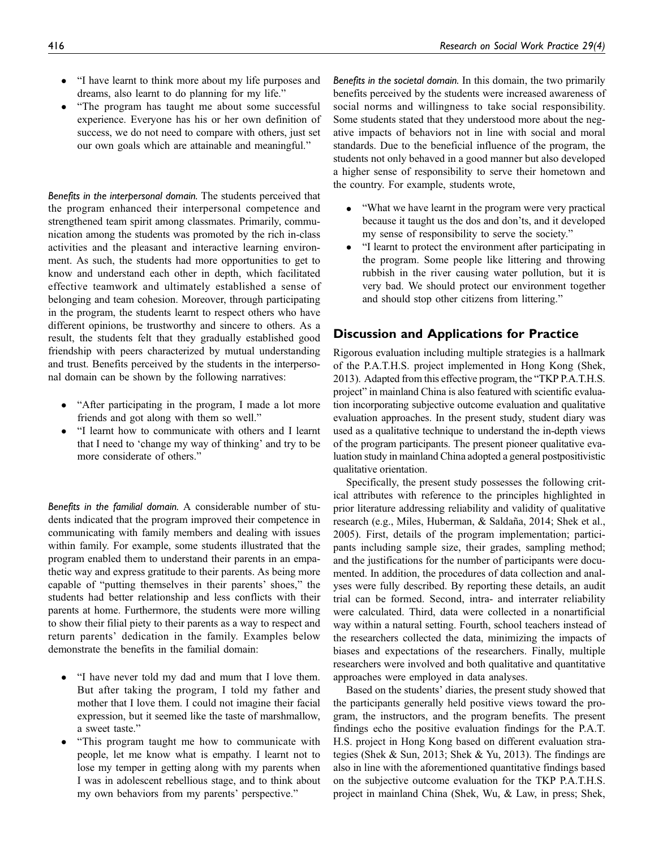- "I have learnt to think more about my life purposes and dreams, also learnt to do planning for my life."
- "The program has taught me about some successful experience. Everyone has his or her own definition of success, we do not need to compare with others, just set our own goals which are attainable and meaningful."

Benefits in the interpersonal domain. The students perceived that the program enhanced their interpersonal competence and strengthened team spirit among classmates. Primarily, communication among the students was promoted by the rich in-class activities and the pleasant and interactive learning environment. As such, the students had more opportunities to get to know and understand each other in depth, which facilitated effective teamwork and ultimately established a sense of belonging and team cohesion. Moreover, through participating in the program, the students learnt to respect others who have different opinions, be trustworthy and sincere to others. As a result, the students felt that they gradually established good friendship with peers characterized by mutual understanding and trust. Benefits perceived by the students in the interpersonal domain can be shown by the following narratives:

- "After participating in the program, I made a lot more friends and got along with them so well."
- "I learnt how to communicate with others and I learnt that I need to 'change my way of thinking' and try to be more considerate of others."

Benefits in the familial domain. A considerable number of students indicated that the program improved their competence in communicating with family members and dealing with issues within family. For example, some students illustrated that the program enabled them to understand their parents in an empathetic way and express gratitude to their parents. As being more capable of "putting themselves in their parents' shoes," the students had better relationship and less conflicts with their parents at home. Furthermore, the students were more willing to show their filial piety to their parents as a way to respect and return parents' dedication in the family. Examples below demonstrate the benefits in the familial domain:

- "I have never told my dad and mum that I love them. But after taking the program, I told my father and mother that I love them. I could not imagine their facial expression, but it seemed like the taste of marshmallow, a sweet taste."
- "This program taught me how to communicate with people, let me know what is empathy. I learnt not to lose my temper in getting along with my parents when I was in adolescent rebellious stage, and to think about my own behaviors from my parents' perspective."

Benefits in the societal domain. In this domain, the two primarily benefits perceived by the students were increased awareness of social norms and willingness to take social responsibility. Some students stated that they understood more about the negative impacts of behaviors not in line with social and moral standards. Due to the beneficial influence of the program, the students not only behaved in a good manner but also developed a higher sense of responsibility to serve their hometown and the country. For example, students wrote,

- "What we have learnt in the program were very practical because it taught us the dos and don'ts, and it developed my sense of responsibility to serve the society."
- "I learnt to protect the environment after participating in the program. Some people like littering and throwing rubbish in the river causing water pollution, but it is very bad. We should protect our environment together and should stop other citizens from littering."

# Discussion and Applications for Practice

Rigorous evaluation including multiple strategies is a hallmark of the P.A.T.H.S. project implemented in Hong Kong (Shek, 2013). Adapted from this effective program, the "TKP P.A.T.H.S. project" in mainland China is also featured with scientific evaluation incorporating subjective outcome evaluation and qualitative evaluation approaches. In the present study, student diary was used as a qualitative technique to understand the in-depth views of the program participants. The present pioneer qualitative evaluation study in mainland China adopted a general postpositivistic qualitative orientation.

Specifically, the present study possesses the following critical attributes with reference to the principles highlighted in prior literature addressing reliability and validity of qualitative research (e.g., Miles, Huberman, & Saldaña, 2014; Shek et al., 2005). First, details of the program implementation; participants including sample size, their grades, sampling method; and the justifications for the number of participants were documented. In addition, the procedures of data collection and analyses were fully described. By reporting these details, an audit trial can be formed. Second, intra- and interrater reliability were calculated. Third, data were collected in a nonartificial way within a natural setting. Fourth, school teachers instead of the researchers collected the data, minimizing the impacts of biases and expectations of the researchers. Finally, multiple researchers were involved and both qualitative and quantitative approaches were employed in data analyses.

Based on the students' diaries, the present study showed that the participants generally held positive views toward the program, the instructors, and the program benefits. The present findings echo the positive evaluation findings for the P.A.T. H.S. project in Hong Kong based on different evaluation strategies (Shek & Sun, 2013; Shek & Yu, 2013). The findings are also in line with the aforementioned quantitative findings based on the subjective outcome evaluation for the TKP P.A.T.H.S. project in mainland China (Shek, Wu, & Law, in press; Shek,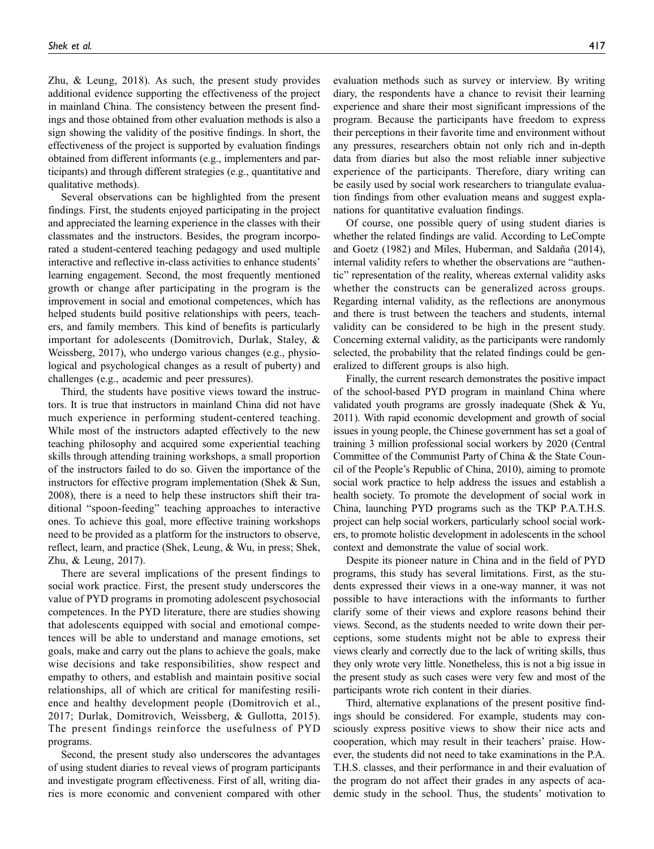Zhu, & Leung, 2018). As such, the present study provides additional evidence supporting the effectiveness of the project in mainland China. The consistency between the present findings and those obtained from other evaluation methods is also a sign showing the validity of the positive findings. In short, the effectiveness of the project is supported by evaluation findings obtained from different informants (e.g., implementers and participants) and through different strategies (e.g., quantitative and qualitative methods).

Several observations can be highlighted from the present findings. First, the students enjoyed participating in the project and appreciated the learning experience in the classes with their classmates and the instructors. Besides, the program incorporated a student-centered teaching pedagogy and used multiple interactive and reflective in-class activities to enhance students' learning engagement. Second, the most frequently mentioned growth or change after participating in the program is the improvement in social and emotional competences, which has helped students build positive relationships with peers, teachers, and family members. This kind of benefits is particularly important for adolescents (Domitrovich, Durlak, Staley, & Weissberg, 2017), who undergo various changes (e.g., physiological and psychological changes as a result of puberty) and challenges (e.g., academic and peer pressures).

Third, the students have positive views toward the instructors. It is true that instructors in mainland China did not have much experience in performing student-centered teaching. While most of the instructors adapted effectively to the new teaching philosophy and acquired some experiential teaching skills through attending training workshops, a small proportion of the instructors failed to do so. Given the importance of the instructors for effective program implementation (Shek & Sun, 2008), there is a need to help these instructors shift their traditional "spoon-feeding" teaching approaches to interactive ones. To achieve this goal, more effective training workshops need to be provided as a platform for the instructors to observe, reflect, learn, and practice (Shek, Leung, & Wu, in press; Shek, Zhu, & Leung, 2017).

There are several implications of the present findings to social work practice. First, the present study underscores the value of PYD programs in promoting adolescent psychosocial competences. In the PYD literature, there are studies showing that adolescents equipped with social and emotional competences will be able to understand and manage emotions, set goals, make and carry out the plans to achieve the goals, make wise decisions and take responsibilities, show respect and empathy to others, and establish and maintain positive social relationships, all of which are critical for manifesting resilience and healthy development people (Domitrovich et al., 2017; Durlak, Domitrovich, Weissberg, & Gullotta, 2015). The present findings reinforce the usefulness of PYD programs.

Second, the present study also underscores the advantages of using student diaries to reveal views of program participants and investigate program effectiveness. First of all, writing diaries is more economic and convenient compared with other evaluation methods such as survey or interview. By writing diary, the respondents have a chance to revisit their learning experience and share their most significant impressions of the program. Because the participants have freedom to express their perceptions in their favorite time and environment without any pressures, researchers obtain not only rich and in-depth data from diaries but also the most reliable inner subjective experience of the participants. Therefore, diary writing can be easily used by social work researchers to triangulate evaluation findings from other evaluation means and suggest explanations for quantitative evaluation findings.

Of course, one possible query of using student diaries is whether the related findings are valid. According to LeCompte and Goetz (1982) and Miles, Huberman, and Saldaña (2014), internal validity refers to whether the observations are "authentic" representation of the reality, whereas external validity asks whether the constructs can be generalized across groups. Regarding internal validity, as the reflections are anonymous and there is trust between the teachers and students, internal validity can be considered to be high in the present study. Concerning external validity, as the participants were randomly selected, the probability that the related findings could be generalized to different groups is also high.

Finally, the current research demonstrates the positive impact of the school-based PYD program in mainland China where validated youth programs are grossly inadequate (Shek & Yu, 2011). With rapid economic development and growth of social issues in young people, the Chinese government has set a goal of training 3 million professional social workers by 2020 (Central Committee of the Communist Party of China & the State Council of the People's Republic of China, 2010), aiming to promote social work practice to help address the issues and establish a health society. To promote the development of social work in China, launching PYD programs such as the TKP P.A.T.H.S. project can help social workers, particularly school social workers, to promote holistic development in adolescents in the school context and demonstrate the value of social work.

Despite its pioneer nature in China and in the field of PYD programs, this study has several limitations. First, as the students expressed their views in a one-way manner, it was not possible to have interactions with the informants to further clarify some of their views and explore reasons behind their views. Second, as the students needed to write down their perceptions, some students might not be able to express their views clearly and correctly due to the lack of writing skills, thus they only wrote very little. Nonetheless, this is not a big issue in the present study as such cases were very few and most of the participants wrote rich content in their diaries.

Third, alternative explanations of the present positive findings should be considered. For example, students may consciously express positive views to show their nice acts and cooperation, which may result in their teachers' praise. However, the students did not need to take examinations in the P.A. T.H.S. classes, and their performance in and their evaluation of the program do not affect their grades in any aspects of academic study in the school. Thus, the students' motivation to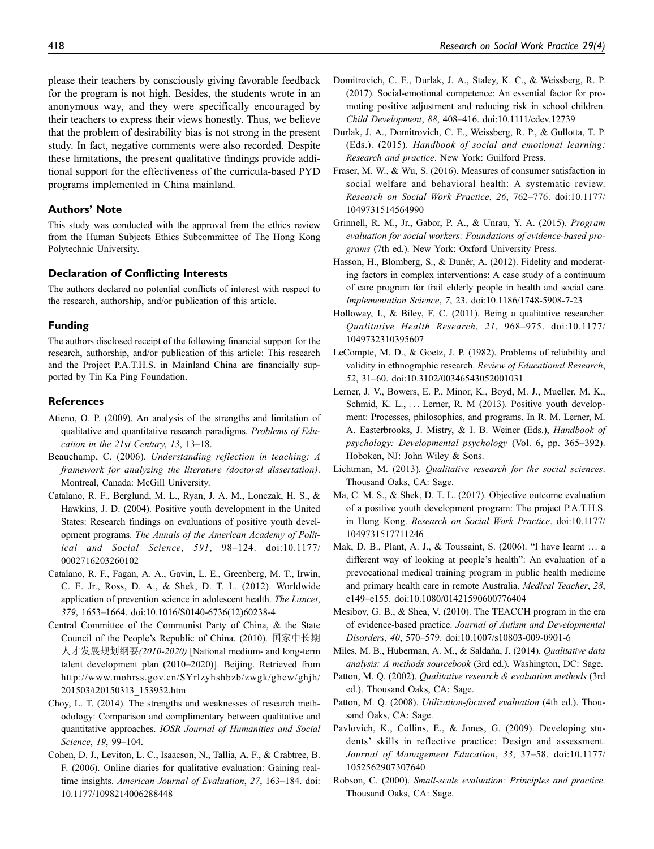please their teachers by consciously giving favorable feedback for the program is not high. Besides, the students wrote in an anonymous way, and they were specifically encouraged by their teachers to express their views honestly. Thus, we believe that the problem of desirability bias is not strong in the present study. In fact, negative comments were also recorded. Despite these limitations, the present qualitative findings provide additional support for the effectiveness of the curricula-based PYD programs implemented in China mainland.

## Authors' Note

This study was conducted with the approval from the ethics review from the Human Subjects Ethics Subcommittee of The Hong Kong Polytechnic University.

#### Declaration of Conflicting Interests

The authors declared no potential conflicts of interest with respect to the research, authorship, and/or publication of this article.

#### Funding

The authors disclosed receipt of the following financial support for the research, authorship, and/or publication of this article: This research and the Project P.A.T.H.S. in Mainland China are financially supported by Tin Ka Ping Foundation.

#### References

- Atieno, O. P. (2009). An analysis of the strengths and limitation of qualitative and quantitative research paradigms. Problems of Education in the 21st Century, 13, 13–18.
- Beauchamp, C. (2006). Understanding reflection in teaching: A framework for analyzing the literature (doctoral dissertation). Montreal, Canada: McGill University.
- Catalano, R. F., Berglund, M. L., Ryan, J. A. M., Lonczak, H. S., & Hawkins, J. D. (2004). Positive youth development in the United States: Research findings on evaluations of positive youth development programs. The Annals of the American Academy of Political and Social Science, 591, 98–124. doi:10.1177/ 0002716203260102
- Catalano, R. F., Fagan, A. A., Gavin, L. E., Greenberg, M. T., Irwin, C. E. Jr., Ross, D. A., & Shek, D. T. L. (2012). Worldwide application of prevention science in adolescent health. The Lancet, 379, 1653–1664. doi:10.1016/S0140-6736(12)60238-4
- Central Committee of the Communist Party of China, & the State Council of the People's Republic of China. (2010). 国家中长期 人才发展规划纲要(2010-2020) [National medium- and long-term talent development plan (2010–2020)]. Beijing. Retrieved from [http://www.mohrss.gov.cn/SYrlzyhshbzb/zwgk/ghcw/ghjh/](http://www.mohrss.gov.cn/SYrlzyhshbzb/zwgk/ghcw/ghjh/201503/t20150313_153952.htm) [201503/t20150313\\_153952.htm](http://www.mohrss.gov.cn/SYrlzyhshbzb/zwgk/ghcw/ghjh/201503/t20150313_153952.htm)
- Choy, L. T. (2014). The strengths and weaknesses of research methodology: Comparison and complimentary between qualitative and quantitative approaches. IOSR Journal of Humanities and Social Science, 19, 99–104.
- Cohen, D. J., Leviton, L. C., Isaacson, N., Tallia, A. F., & Crabtree, B. F. (2006). Online diaries for qualitative evaluation: Gaining realtime insights. American Journal of Evaluation, 27, 163–184. doi: 10.1177/1098214006288448
- Domitrovich, C. E., Durlak, J. A., Staley, K. C., & Weissberg, R. P. (2017). Social-emotional competence: An essential factor for promoting positive adjustment and reducing risk in school children. Child Development, 88, 408–416. doi:10.1111/cdev.12739
- Durlak, J. A., Domitrovich, C. E., Weissberg, R. P., & Gullotta, T. P. (Eds.). (2015). Handbook of social and emotional learning: Research and practice. New York: Guilford Press.
- Fraser, M. W., & Wu, S. (2016). Measures of consumer satisfaction in social welfare and behavioral health: A systematic review. Research on Social Work Practice, 26, 762–776. doi:10.1177/ 1049731514564990
- Grinnell, R. M., Jr., Gabor, P. A., & Unrau, Y. A. (2015). Program evaluation for social workers: Foundations of evidence-based programs (7th ed.). New York: Oxford University Press.
- Hasson, H., Blomberg, S., & Dunér, A. (2012). Fidelity and moderating factors in complex interventions: A case study of a continuum of care program for frail elderly people in health and social care. Implementation Science, 7, 23. doi:10.1186/1748-5908-7-23
- Holloway, I., & Biley, F. C. (2011). Being a qualitative researcher. Qualitative Health Research, 21, 968–975. doi:10.1177/ 1049732310395607
- LeCompte, M. D., & Goetz, J. P. (1982). Problems of reliability and validity in ethnographic research. Review of Educational Research, 52, 31–60. doi:10.3102/00346543052001031
- Lerner, J. V., Bowers, E. P., Minor, K., Boyd, M. J., Mueller, M. K., Schmid, K. L., ... Lerner, R. M (2013). Positive youth development: Processes, philosophies, and programs. In R. M. Lerner, M. A. Easterbrooks, J. Mistry, & I. B. Weiner (Eds.), Handbook of psychology: Developmental psychology (Vol. 6, pp. 365–392). Hoboken, NJ: John Wiley & Sons.
- Lichtman, M. (2013). Qualitative research for the social sciences. Thousand Oaks, CA: Sage.
- Ma, C. M. S., & Shek, D. T. L. (2017). Objective outcome evaluation of a positive youth development program: The project P.A.T.H.S. in Hong Kong. Research on Social Work Practice. doi:10.1177/ 1049731517711246
- Mak, D. B., Plant, A. J., & Toussaint, S. (2006). "I have learnt … a different way of looking at people's health": An evaluation of a prevocational medical training program in public health medicine and primary health care in remote Australia. Medical Teacher, 28, e149–e155. doi:10.1080/01421590600776404
- Mesibov, G. B., & Shea, V. (2010). The TEACCH program in the era of evidence-based practice. Journal of Autism and Developmental Disorders, 40, 570–579. doi:10.1007/s10803-009-0901-6
- Miles, M. B., Huberman, A. M., & Saldaña, J. (2014). Qualitative data analysis: A methods sourcebook (3rd ed.). Washington, DC: Sage.
- Patton, M. Q. (2002). Qualitative research & evaluation methods (3rd ed.). Thousand Oaks, CA: Sage.
- Patton, M. Q. (2008). *Utilization-focused evaluation* (4th ed.). Thousand Oaks, CA: Sage.
- Pavlovich, K., Collins, E., & Jones, G. (2009). Developing students' skills in reflective practice: Design and assessment. Journal of Management Education, 33, 37–58. doi:10.1177/ 1052562907307640
- Robson, C. (2000). Small-scale evaluation: Principles and practice. Thousand Oaks, CA: Sage.